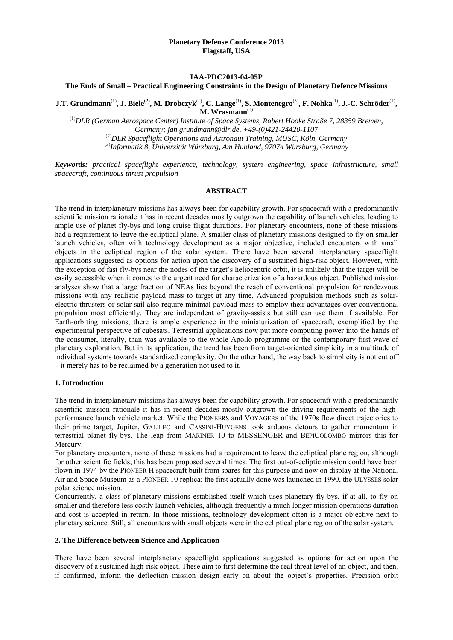### **IAA-PDC2013-04-05P**

#### **The Ends of Small – Practical Engineering Constraints in the Design of Planetary Defence Missions**

**J.T. Grundmann**(1)**, J. Biele**(2)**, M. Drobczyk**(1)**, C. Lange**(1)**, S. Montenegro**(3)**, F. Nohka**(1)**, J.-C. Schröder**(1)**, M. Wrasmann**(1)

(1)*DLR (German Aerospace Center) Institute of Space Systems, Robert Hooke Straße 7, 28359 Bremen, Germany; jan.grundmann@dlr.de, +49-(0)421-24420-1107*  (2)*DLR Spaceflight Operations and Astronaut Training, MUSC, Köln, Germany*  (3)*Informatik 8, Universität Würzburg, Am Hubland, 97074 Würzburg, Germany*

*Keywords: practical spaceflight experience, technology, system engineering, space infrastructure, small spacecraft, continuous thrust propulsion* 

### **ABSTRACT**

The trend in interplanetary missions has always been for capability growth. For spacecraft with a predominantly scientific mission rationale it has in recent decades mostly outgrown the capability of launch vehicles, leading to ample use of planet fly-bys and long cruise flight durations. For planetary encounters, none of these missions had a requirement to leave the ecliptical plane. A smaller class of planetary missions designed to fly on smaller launch vehicles, often with technology development as a major objective, included encounters with small objects in the ecliptical region of the solar system. There have been several interplanetary spaceflight applications suggested as options for action upon the discovery of a sustained high-risk object. However, with the exception of fast fly-bys near the nodes of the target's heliocentric orbit, it is unlikely that the target will be easily accessible when it comes to the urgent need for characterization of a hazardous object. Published mission analyses show that a large fraction of NEAs lies beyond the reach of conventional propulsion for rendezvous missions with any realistic payload mass to target at any time. Advanced propulsion methods such as solarelectric thrusters or solar sail also require minimal payload mass to employ their advantages over conventional propulsion most efficiently. They are independent of gravity-assists but still can use them if available. For Earth-orbiting missions, there is ample experience in the miniaturization of spacecraft, exemplified by the experimental perspective of cubesats. Terrestrial applications now put more computing power into the hands of the consumer, literally, than was available to the whole Apollo programme or the contemporary first wave of planetary exploration. But in its application, the trend has been from target-oriented simplicity in a multitude of individual systems towards standardized complexity. On the other hand, the way back to simplicity is not cut off – it merely has to be reclaimed by a generation not used to it.

#### **1. Introduction**

The trend in interplanetary missions has always been for capability growth. For spacecraft with a predominantly scientific mission rationale it has in recent decades mostly outgrown the driving requirements of the highperformance launch vehicle market. While the PIONEERS and VOYAGERS of the 1970s flew direct trajectories to their prime target, Jupiter, GALILEO and CASSINI-HUYGENS took arduous detours to gather momentum in terrestrial planet fly-bys. The leap from MARINER 10 to MESSENGER and BEPICOLOMBO mirrors this for Mercury.

For planetary encounters, none of these missions had a requirement to leave the ecliptical plane region, although for other scientific fields, this has been proposed several times. The first out-of-ecliptic mission could have been flown in 1974 by the PIONEER H spacecraft built from spares for this purpose and now on display at the National Air and Space Museum as a PIONEER 10 replica; the first actually done was launched in 1990, the ULYSSES solar polar science mission.

Concurrently, a class of planetary missions established itself which uses planetary fly-bys, if at all, to fly on smaller and therefore less costly launch vehicles, although frequently a much longer mission operations duration and cost is accepted in return. In those missions, technology development often is a major objective next to planetary science. Still, all encounters with small objects were in the ecliptical plane region of the solar system.

### **2. The Difference between Science and Application**

There have been several interplanetary spaceflight applications suggested as options for action upon the discovery of a sustained high-risk object. These aim to first determine the real threat level of an object, and then, if confirmed, inform the deflection mission design early on about the object's properties. Precision orbit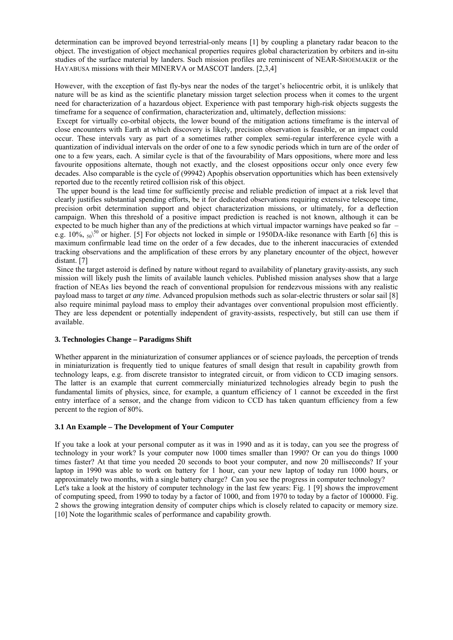determination can be improved beyond terrestrial-only means [1] by coupling a planetary radar beacon to the object. The investigation of object mechanical properties requires global characterization by orbiters and in-situ studies of the surface material by landers. Such mission profiles are reminiscent of NEAR-SHOEMAKER or the HAYABUSA missions with their MINERVA or MASCOT landers. [2,3,4]

However, with the exception of fast fly-bys near the nodes of the target's heliocentric orbit, it is unlikely that nature will be as kind as the scientific planetary mission target selection process when it comes to the urgent need for characterization of a hazardous object. Experience with past temporary high-risk objects suggests the timeframe for a sequence of confirmation, characterization and, ultimately, deflection missions:

 Except for virtually co-orbital objects, the lower bound of the mitigation actions timeframe is the interval of close encounters with Earth at which discovery is likely, precision observation is feasible, or an impact could occur. These intervals vary as part of a sometimes rather complex semi-regular interference cycle with a quantization of individual intervals on the order of one to a few synodic periods which in turn are of the order of one to a few years, each. A similar cycle is that of the favourability of Mars oppositions, where more and less favourite oppositions alternate, though not exactly, and the closest oppositions occur only once every few decades. Also comparable is the cycle of (99942) Apophis observation opportunities which has been extensively reported due to the recently retired collision risk of this object.

 The upper bound is the lead time for sufficiently precise and reliable prediction of impact at a risk level that clearly justifies substantial spending efforts, be it for dedicated observations requiring extensive telescope time, precision orbit determination support and object characterization missions, or ultimately, for a deflection campaign. When this threshold of a positive impact prediction is reached is not known, although it can be expected to be much higher than any of the predictions at which virtual impactor warnings have peaked so far – e.g. 10%,  $_{50}\right.^{50}$  or higher. [5] For objects not locked in simple or 1950DA-like resonance with Earth [6] this is maximum confirmable lead time on the order of a few decades, due to the inherent inaccuracies of extended tracking observations and the amplification of these errors by any planetary encounter of the object, however distant. [7]

 Since the target asteroid is defined by nature without regard to availability of planetary gravity-assists, any such mission will likely push the limits of available launch vehicles. Published mission analyses show that a large fraction of NEAs lies beyond the reach of conventional propulsion for rendezvous missions with any realistic payload mass to target *at any time*. Advanced propulsion methods such as solar-electric thrusters or solar sail [8] also require minimal payload mass to employ their advantages over conventional propulsion most efficiently. They are less dependent or potentially independent of gravity-assists, respectively, but still can use them if available.

# **3. Technologies Change – Paradigms Shift**

Whether apparent in the miniaturization of consumer appliances or of science payloads, the perception of trends in miniaturization is frequently tied to unique features of small design that result in capability growth from technology leaps, e.g. from discrete transistor to integrated circuit, or from vidicon to CCD imaging sensors. The latter is an example that current commercially miniaturized technologies already begin to push the fundamental limits of physics, since, for example, a quantum efficiency of 1 cannot be exceeded in the first entry interface of a sensor, and the change from vidicon to CCD has taken quantum efficiency from a few percent to the region of 80%.

#### **3.1 An Example – The Development of Your Computer**

If you take a look at your personal computer as it was in 1990 and as it is today, can you see the progress of technology in your work? Is your computer now 1000 times smaller than 1990? Or can you do things 1000 times faster? At that time you needed 20 seconds to boot your computer, and now 20 milliseconds? If your laptop in 1990 was able to work on battery for 1 hour, can your new laptop of today run 1000 hours, or approximately two months, with a single battery charge? Can you see the progress in computer technology? Let's take a look at the history of computer technology in the last few years: Fig. 1 [9] shows the improvement of computing speed, from 1990 to today by a factor of 1000, and from 1970 to today by a factor of 100000. Fig. 2 shows the growing integration density of computer chips which is closely related to capacity or memory size. [10] Note the logarithmic scales of performance and capability growth.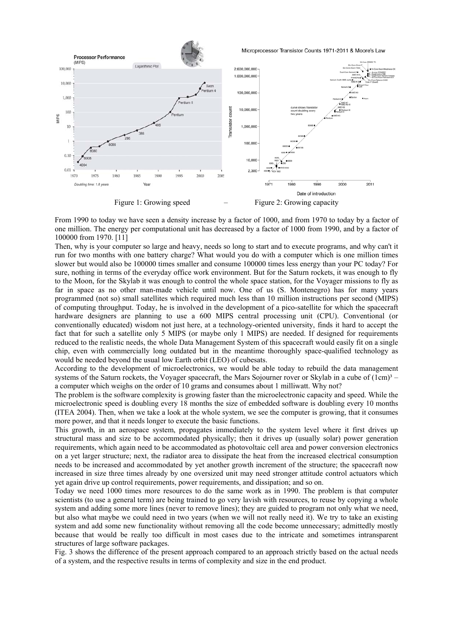

From 1990 to today we have seen a density increase by a factor of 1000, and from 1970 to today by a factor of one million. The energy per computational unit has decreased by a factor of 1000 from 1990, and by a factor of 100000 from 1970. [11]

Then, why is your computer so large and heavy, needs so long to start and to execute programs, and why can't it run for two months with one battery charge? What would you do with a computer which is one million times slower but would also be 100000 times smaller and consume 100000 times less energy than your PC today? For sure, nothing in terms of the everyday office work environment. But for the Saturn rockets, it was enough to fly to the Moon, for the Skylab it was enough to control the whole space station, for the Voyager missions to fly as far in space as no other man-made vehicle until now. One of us (S. Montenegro) has for many years programmed (not so) small satellites which required much less than 10 million instructions per second (MIPS) of computing throughput. Today, he is involved in the development of a pico-satellite for which the spacecraft hardware designers are planning to use a 600 MIPS central processing unit (CPU). Conventional (or conventionally educated) wisdom not just here, at a technology-oriented university, finds it hard to accept the fact that for such a satellite only 5 MIPS (or maybe only 1 MIPS) are needed. If designed for requirements reduced to the realistic needs, the whole Data Management System of this spacecraft would easily fit on a single chip, even with commercially long outdated but in the meantime thoroughly space-qualified technology as would be needed beyond the usual low Earth orbit (LEO) of cubesats.

According to the development of microelectronics, we would be able today to rebuild the data management systems of the Saturn rockets, the Voyager spacecraft, the Mars Sojourner rover or Skylab in a cube of  $(1cm)<sup>3</sup>$ a computer which weighs on the order of 10 grams and consumes about 1 milliwatt. Why not?

The problem is the software complexity is growing faster than the microelectronic capacity and speed. While the microelectronic speed is doubling every 18 months the size of embedded software is doubling every 10 months (ITEA 2004). Then, when we take a look at the whole system, we see the computer is growing, that it consumes more power, and that it needs longer to execute the basic functions.

This growth, in an aerospace system, propagates immediately to the system level where it first drives up structural mass and size to be accommodated physically; then it drives up (usually solar) power generation requirements, which again need to be accommodated as photovoltaic cell area and power conversion electronics on a yet larger structure; next, the radiator area to dissipate the heat from the increased electrical consumption needs to be increased and accommodated by yet another growth increment of the structure; the spacecraft now increased in size three times already by one oversized unit may need stronger attitude control actuators which yet again drive up control requirements, power requirements, and dissipation; and so on.

Today we need 1000 times more resources to do the same work as in 1990. The problem is that computer scientists (to use a general term) are being trained to go very lavish with resources, to reuse by copying a whole system and adding some more lines (never to remove lines); they are guided to program not only what we need, but also what maybe we could need in two years (when we will not really need it). We try to take an existing system and add some new functionality without removing all the code become unnecessary; admittedly mostly because that would be really too difficult in most cases due to the intricate and sometimes intransparent structures of large software packages.

Fig. 3 shows the difference of the present approach compared to an approach strictly based on the actual needs of a system, and the respective results in terms of complexity and size in the end product.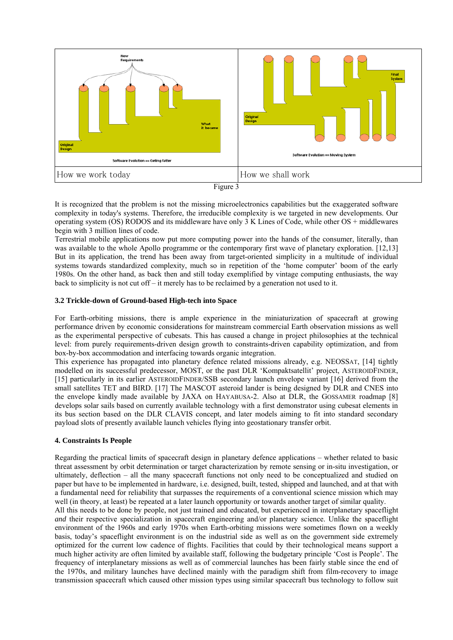



It is recognized that the problem is not the missing microelectronics capabilities but the exaggerated software complexity in today's systems. Therefore, the irreducible complexity is we targeted in new developments. Our operating system (OS) RODOS and its middleware have only 3 K Lines of Code, while other OS + middlewares begin with 3 million lines of code.

Terrestrial mobile applications now put more computing power into the hands of the consumer, literally, than was available to the whole Apollo programme or the contemporary first wave of planetary exploration. [12,13] But in its application, the trend has been away from target-oriented simplicity in a multitude of individual systems towards standardized complexity, much so in repetition of the 'home computer' boom of the early 1980s. On the other hand, as back then and still today exemplified by vintage computing enthusiasts, the way back to simplicity is not cut off – it merely has to be reclaimed by a generation not used to it.

# **3.2 Trickle-down of Ground-based High-tech into Space**

For Earth-orbiting missions, there is ample experience in the miniaturization of spacecraft at growing performance driven by economic considerations for mainstream commercial Earth observation missions as well as the experimental perspective of cubesats. This has caused a change in project philosophies at the technical level: from purely requirements-driven design growth to constraints-driven capability optimization, and from box-by-box accommodation and interfacing towards organic integration.

This experience has propagated into planetary defence related missions already, e.g. NEOSSAT, [14] tightly modelled on its successful predecessor, MOST, or the past DLR 'Kompaktsatellit' project, ASTEROIDFINDER, [15] particularly in its earlier ASTEROIDFINDER/SSB secondary launch envelope variant [16] derived from the small satellites TET and BIRD. [17] The MASCOT asteroid lander is being designed by DLR and CNES into the envelope kindly made available by JAXA on HAYABUSA-2. Also at DLR, the GOSSAMER roadmap [8] develops solar sails based on currently available technology with a first demonstrator using cubesat elements in its bus section based on the DLR CLAVIS concept, and later models aiming to fit into standard secondary payload slots of presently available launch vehicles flying into geostationary transfer orbit.

# **4. Constraints Is People**

Regarding the practical limits of spacecraft design in planetary defence applications – whether related to basic threat assessment by orbit determination or target characterization by remote sensing or in-situ investigation, or ultimately, deflection – all the many spacecraft functions not only need to be conceptualized and studied on paper but have to be implemented in hardware, i.e. designed, built, tested, shipped and launched, and at that with a fundamental need for reliability that surpasses the requirements of a conventional science mission which may well (in theory, at least) be repeated at a later launch opportunity or towards another target of similar quality.

All this needs to be done by people, not just trained and educated, but experienced in interplanetary spaceflight *and* their respective specialization in spacecraft engineering and/or planetary science. Unlike the spaceflight environment of the 1960s and early 1970s when Earth-orbiting missions were sometimes flown on a weekly basis, today's spaceflight environment is on the industrial side as well as on the government side extremely optimized for the current low cadence of flights. Facilities that could by their technological means support a much higher activity are often limited by available staff, following the budgetary principle 'Cost is People'. The frequency of interplanetary missions as well as of commercial launches has been fairly stable since the end of the 1970s, and military launches have declined mainly with the paradigm shift from film-recovery to image transmission spacecraft which caused other mission types using similar spacecraft bus technology to follow suit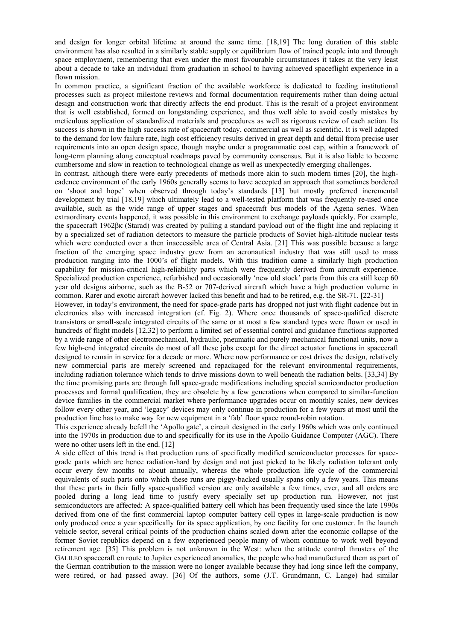and design for longer orbital lifetime at around the same time. [18,19] The long duration of this stable environment has also resulted in a similarly stable supply or equilibrium flow of trained people into and through space employment, remembering that even under the most favourable circumstances it takes at the very least about a decade to take an individual from graduation in school to having achieved spaceflight experience in a flown mission.

In common practice, a significant fraction of the available workforce is dedicated to feeding institutional processes such as project milestone reviews and formal documentation requirements rather than doing actual design and construction work that directly affects the end product. This is the result of a project environment that is well established, formed on longstanding experience, and thus well able to avoid costly mistakes by meticulous application of standardized materials and procedures as well as rigorous review of each action. Its success is shown in the high success rate of spacecraft today, commercial as well as scientific. It is well adapted to the demand for low failure rate, high cost efficiency results derived in great depth and detail from precise user requirements into an open design space, though maybe under a programmatic cost cap, within a framework of long-term planning along conceptual roadmaps paved by community consensus. But it is also liable to become cumbersome and slow in reaction to technological change as well as unexpectedly emerging challenges.

In contrast, although there were early precedents of methods more akin to such modern times [20], the highcadence environment of the early 1960s generally seems to have accepted an approach that sometimes bordered on 'shoot and hope' when observed through today's standards [13] but mostly preferred incremental development by trial [18,19] which ultimately lead to a well-tested platform that was frequently re-used once available, such as the wide range of upper stages and spacecraft bus models of the Agena series. When extraordinary events happened, it was possible in this environment to exchange payloads quickly. For example, the spacecraft 1962βκ (Starad) was created by pulling a standard payload out of the flight line and replacing it by a specialized set of radiation detectors to measure the particle products of Soviet high-altitude nuclear tests which were conducted over a then inaccessible area of Central Asia. [21] This was possible because a large fraction of the emerging space industry grew from an aeronautical industry that was still used to mass production ranging into the 1000's of flight models. With this tradition came a similarly high production capability for mission-critical high-reliability parts which were frequently derived from aircraft experience. Specialized production experience, refurbished and occasionally 'new old stock' parts from this era still keep 60 year old designs airborne, such as the B-52 or 707-derived aircraft which have a high production volume in common. Rarer and exotic aircraft however lacked this benefit and had to be retired, e.g. the SR-71. [22-31]

However, in today's environment, the need for space-grade parts has dropped not just with flight cadence but in electronics also with increased integration (cf. Fig. 2). Where once thousands of space-qualified discrete transistors or small-scale integrated circuits of the same or at most a few standard types were flown or used in hundreds of flight models [12,32] to perform a limited set of essential control and guidance functions supported by a wide range of other electromechanical, hydraulic, pneumatic and purely mechanical functional units, now a few high-end integrated circuits do most of all these jobs except for the direct actuator functions in spacecraft designed to remain in service for a decade or more. Where now performance or cost drives the design, relatively new commercial parts are merely screened and repackaged for the relevant environmental requirements, including radiation tolerance which tends to drive missions down to well beneath the radiation belts. [33,34] By the time promising parts are through full space-grade modifications including special semiconductor production processes and formal qualification, they are obsolete by a few generations when compared to similar-function device families in the commercial market where performance upgrades occur on monthly scales, new devices follow every other year, and 'legacy' devices may only continue in production for a few years at most until the production line has to make way for new equipment in a 'fab' floor space round-robin rotation.

This experience already befell the 'Apollo gate', a circuit designed in the early 1960s which was only continued into the 1970s in production due to and specifically for its use in the Apollo Guidance Computer (AGC). There were no other users left in the end. [12]

A side effect of this trend is that production runs of specifically modified semiconductor processes for spacegrade parts which are hence radiation-hard by design and not just picked to be likely radiation tolerant only occur every few months to about annually, whereas the whole production life cycle of the commercial equivalents of such parts onto which these runs are piggy-backed usually spans only a few years. This means that these parts in their fully space-qualified version are only available a few times, ever, and all orders are pooled during a long lead time to justify every specially set up production run. However, not just semiconductors are affected: A space-qualified battery cell which has been frequently used since the late 1990s derived from one of the first commercial laptop computer battery cell types in large-scale production is now only produced once a year specifically for its space application, by one facility for one customer. In the launch vehicle sector, several critical points of the production chains scaled down after the economic collapse of the former Soviet republics depend on a few experienced people many of whom continue to work well beyond retirement age. [35] This problem is not unknown in the West: when the attitude control thrusters of the GALILEO spacecraft en route to Jupiter experienced anomalies, the people who had manufactured them as part of the German contribution to the mission were no longer available because they had long since left the company, were retired, or had passed away. [36] Of the authors, some (J.T. Grundmann, C. Lange) had similar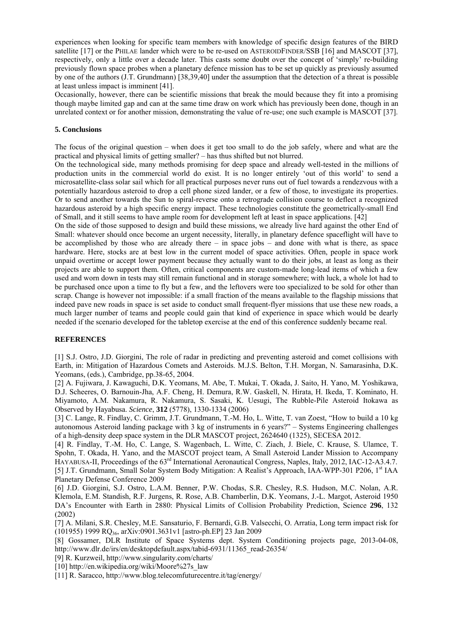experiences when looking for specific team members with knowledge of specific design features of the BIRD satellite [17] or the PHILAE lander which were to be re-used on ASTEROIDFINDER/SSB [16] and MASCOT [37], respectively, only a little over a decade later. This casts some doubt over the concept of 'simply' re-building previously flown space probes when a planetary defence mission has to be set up quickly as previously assumed by one of the authors (J.T. Grundmann) [38,39,40] under the assumption that the detection of a threat is possible at least unless impact is imminent [41].

Occasionally, however, there can be scientific missions that break the mould because they fit into a promising though maybe limited gap and can at the same time draw on work which has previously been done, though in an unrelated context or for another mission, demonstrating the value of re-use; one such example is MASCOT [37].

#### **5. Conclusions**

The focus of the original question – when does it get too small to do the job safely, where and what are the practical and physical limits of getting smaller? – has thus shifted but not blurred.

On the technological side, many methods promising for deep space and already well-tested in the millions of production units in the commercial world do exist. It is no longer entirely 'out of this world' to send a microsatellite-class solar sail which for all practical purposes never runs out of fuel towards a rendezvous with a potentially hazardous asteroid to drop a cell phone sized lander, or a few of those, to investigate its properties. Or to send another towards the Sun to spiral-reverse onto a retrograde collision course to deflect a recognized hazardous asteroid by a high specific energy impact. These technologies constitute the geometrically-small End of Small, and it still seems to have ample room for development left at least in space applications. [42]

On the side of those supposed to design and build these missions, we already live hard against the other End of Small: whatever should once become an urgent necessity, literally, in planetary defence spaceflight will have to be accomplished by those who are already there – in space jobs – and done with what is there, as space hardware. Here, stocks are at best low in the current model of space activities. Often, people in space work unpaid overtime or accept lower payment because they actually want to do their jobs, at least as long as their projects are able to support them. Often, critical components are custom-made long-lead items of which a few used and worn down in tests may still remain functional and in storage somewhere; with luck, a whole lot had to be purchased once upon a time to fly but a few, and the leftovers were too specialized to be sold for other than scrap. Change is however not impossible: if a small fraction of the means available to the flagship missions that indeed pave new roads in space is set aside to conduct small frequent-flyer missions that use these new roads, a much larger number of teams and people could gain that kind of experience in space which would be dearly needed if the scenario developed for the tabletop exercise at the end of this conference suddenly became real.

### **REFERENCES**

[1] S.J. Ostro, J.D. Giorgini, The role of radar in predicting and preventing asteroid and comet collisions with Earth, in: Mitigation of Hazardous Comets and Asteroids. M.J.S. Belton, T.H. Morgan, N. Samarasinha, D.K. Yeomans, (eds.), Cambridge, pp.38-65, 2004.

[2] A. Fujiwara, J. Kawaguchi, D.K. Yeomans, M. Abe, T. Mukai, T. Okada, J. Saito, H. Yano, M. Yoshikawa, D.J. Scheeres, O. Barnouin-Jha, A.F. Cheng, H. Demura, R.W. Gaskell, N. Hirata, H. Ikeda, T. Kominato, H. Miyamoto, A.M. Nakamura, R. Nakamura, S. Sasaki, K. Uesugi, The Rubble-Pile Asteroid Itokawa as Observed by Hayabusa. *Science*, **312** (5778), 1330-1334 (2006)

[3] C. Lange, R. Findlay, C. Grimm, J.T. Grundmann, T.-M. Ho, L. Witte, T. van Zoest, "How to build a 10 kg autonomous Asteroid landing package with 3 kg of instruments in 6 years?" – Systems Engineering challenges of a high-density deep space system in the DLR MASCOT project, 2624640 (1325), SECESA 2012.

[4] R. Findlay, T.-M. Ho, C. Lange, S. Wagenbach, L. Witte, C. Ziach, J. Biele, C. Krause, S. Ulamce, T. Spohn, T. Okada, H. Yano, and the MASCOT project team, A Small Asteroid Lander Mission to Accompany HAYABUSA-II, Proceedings of the 63<sup>rd</sup> International Aeronautical Congress, Naples, Italy, 2012, IAC-12-A3.4.7. [5] J.T. Grundmann, Small Solar System Body Mitigation: A Realist's Approach, IAA-WPP-301 P206, 1<sup>st</sup> IAA Planetary Defense Conference 2009

[6] J.D. Giorgini, S.J. Ostro, L.A.M. Benner, P.W. Chodas, S.R. Chesley, R.S. Hudson, M.C. Nolan, A.R. Klemola, E.M. Standish, R.F. Jurgens, R. Rose, A.B. Chamberlin, D.K. Yeomans, J.-L. Margot, Asteroid 1950 DA's Encounter with Earth in 2880: Physical Limits of Collision Probability Prediction, Science **296**, 132 (2002)

[7] A. Milani, S.R. Chesley, M.E. Sansaturio, F. Bernardi, G.B. Valsecchi, O. Arratia, Long term impact risk for (101955) 1999 RQ36, arXiv:0901.3631v1 [astro-ph.EP] 23 Jan 2009

[8] Gossamer, DLR Institute of Space Systems dept. System Conditioning projects page, 2013-04-08, http://www.dlr.de/irs/en/desktopdefault.aspx/tabid-6931/11365\_read-26354/

[9] R. Kurzweil, http://www.singularity.com/charts/

[10] http://en.wikipedia.org/wiki/Moore%27s\_law

[11] R. Saracco, http://www.blog.telecomfuturecentre.it/tag/energy/